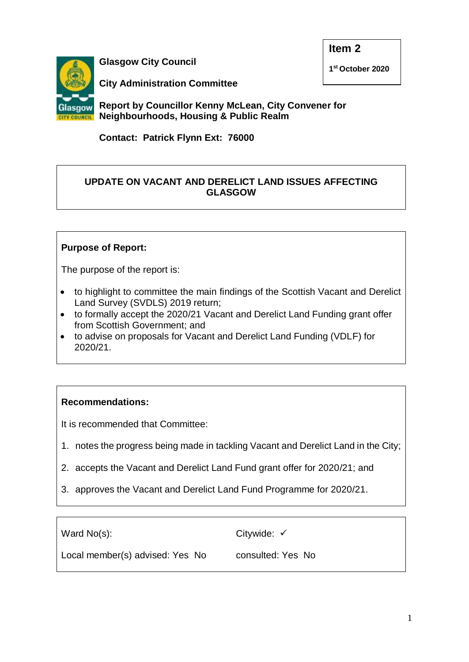

**Glasgow City Council**

**1 st October 2020**

**City Administration Committee**

**Report by Councillor Kenny McLean, City Convener for Neighbourhoods, Housing & Public Realm**

**Contact: Patrick Flynn Ext: 76000**

## **UPDATE ON VACANT AND DERELICT LAND ISSUES AFFECTING GLASGOW**

# **Purpose of Report:**

The purpose of the report is:

- to highlight to committee the main findings of the Scottish Vacant and Derelict Land Survey (SVDLS) 2019 return;
- to formally accept the 2020/21 Vacant and Derelict Land Funding grant offer from Scottish Government; and
- to advise on proposals for Vacant and Derelict Land Funding (VDLF) for 2020/21.

## **Recommendations:**

It is recommended that Committee:

- 1. notes the progress being made in tackling Vacant and Derelict Land in the City;
- 2. accepts the Vacant and Derelict Land Fund grant offer for 2020/21; and
- 3. approves the Vacant and Derelict Land Fund Programme for 2020/21.

Ward No(s):

Citywide: √

Local member(s) advised: Yes No

consulted: Yes No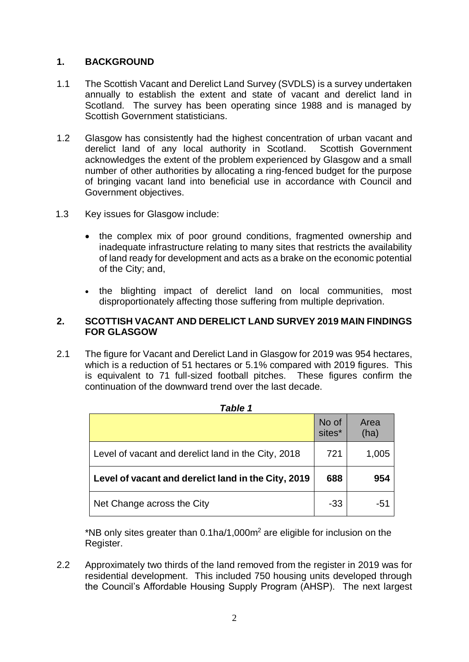### **1. BACKGROUND**

- 1.1 The Scottish Vacant and Derelict Land Survey (SVDLS) is a survey undertaken annually to establish the extent and state of vacant and derelict land in Scotland. The survey has been operating since 1988 and is managed by Scottish Government statisticians.
- 1.2 Glasgow has consistently had the highest concentration of urban vacant and derelict land of any local authority in Scotland. Scottish Government acknowledges the extent of the problem experienced by Glasgow and a small number of other authorities by allocating a ring-fenced budget for the purpose of bringing vacant land into beneficial use in accordance with Council and Government objectives.
- 1.3 Key issues for Glasgow include:
	- the complex mix of poor ground conditions, fragmented ownership and inadequate infrastructure relating to many sites that restricts the availability of land ready for development and acts as a brake on the economic potential of the City; and,
	- the blighting impact of derelict land on local communities, most disproportionately affecting those suffering from multiple deprivation.

#### **2. SCOTTISH VACANT AND DERELICT LAND SURVEY 2019 MAIN FINDINGS FOR GLASGOW**

2.1 The figure for Vacant and Derelict Land in Glasgow for 2019 was 954 hectares, which is a reduction of 51 hectares or 5.1% compared with 2019 figures. This is equivalent to 71 full-sized football pitches. These figures confirm the continuation of the downward trend over the last decade.

| rapie 1                                             |                 |              |  |  |  |
|-----------------------------------------------------|-----------------|--------------|--|--|--|
|                                                     | No of<br>sites* | Area<br>(ha) |  |  |  |
| Level of vacant and derelict land in the City, 2018 | 721             | 1,005        |  |  |  |
| Level of vacant and derelict land in the City, 2019 | 688             | 954          |  |  |  |
| Net Change across the City                          | -33             | -51          |  |  |  |

| v | יי |  |
|---|----|--|
|   |    |  |

\*NB only sites greater than  $0.1$ ha/1,000 $m<sup>2</sup>$  are eligible for inclusion on the Register.

2.2 Approximately two thirds of the land removed from the register in 2019 was for residential development. This included 750 housing units developed through the Council's Affordable Housing Supply Program (AHSP). The next largest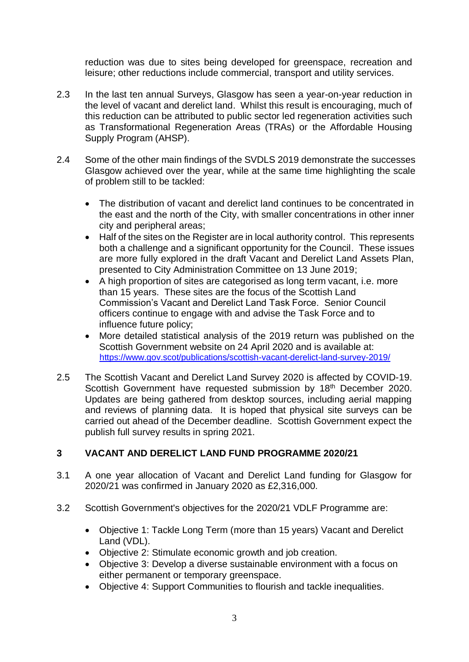reduction was due to sites being developed for greenspace, recreation and leisure; other reductions include commercial, transport and utility services.

- 2.3 In the last ten annual Surveys, Glasgow has seen a year-on-year reduction in the level of vacant and derelict land. Whilst this result is encouraging, much of this reduction can be attributed to public sector led regeneration activities such as Transformational Regeneration Areas (TRAs) or the Affordable Housing Supply Program (AHSP).
- 2.4 Some of the other main findings of the SVDLS 2019 demonstrate the successes Glasgow achieved over the year, while at the same time highlighting the scale of problem still to be tackled:
	- The distribution of vacant and derelict land continues to be concentrated in the east and the north of the City, with smaller concentrations in other inner city and peripheral areas;
	- Half of the sites on the Register are in local authority control. This represents both a challenge and a significant opportunity for the Council. These issues are more fully explored in the draft Vacant and Derelict Land Assets Plan, presented to City Administration Committee on 13 June 2019;
	- A high proportion of sites are categorised as long term vacant, i.e. more than 15 years. These sites are the focus of the Scottish Land Commission's Vacant and Derelict Land Task Force. Senior Council officers continue to engage with and advise the Task Force and to influence future policy;
	- More detailed statistical analysis of the 2019 return was published on the Scottish Government website on 24 April 2020 and is available at: <https://www.gov.scot/publications/scottish-vacant-derelict-land-survey-2019/>
- 2.5 The Scottish Vacant and Derelict Land Survey 2020 is affected by COVID-19. Scottish Government have requested submission by 18<sup>th</sup> December 2020. Updates are being gathered from desktop sources, including aerial mapping and reviews of planning data. It is hoped that physical site surveys can be carried out ahead of the December deadline. Scottish Government expect the publish full survey results in spring 2021.

# **3 VACANT AND DERELICT LAND FUND PROGRAMME 2020/21**

- 3.1 A one year allocation of Vacant and Derelict Land funding for Glasgow for 2020/21 was confirmed in January 2020 as £2,316,000.
- 3.2 Scottish Government's objectives for the 2020/21 VDLF Programme are:
	- Objective 1: Tackle Long Term (more than 15 years) Vacant and Derelict Land (VDL).
	- Objective 2: Stimulate economic growth and job creation.
	- Objective 3: Develop a diverse sustainable environment with a focus on either permanent or temporary greenspace.
	- Objective 4: Support Communities to flourish and tackle inequalities.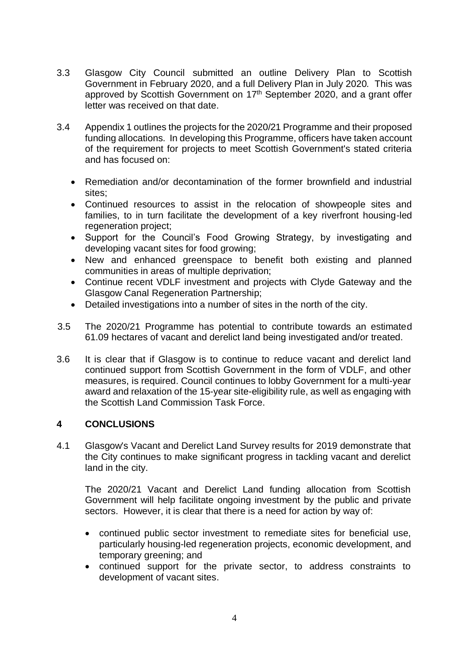- 3.3 Glasgow City Council submitted an outline Delivery Plan to Scottish Government in February 2020, and a full Delivery Plan in July 2020*.* This was approved by Scottish Government on 17<sup>th</sup> September 2020, and a grant offer letter was received on that date.
- 3.4 Appendix 1 outlines the projects for the 2020/21 Programme and their proposed funding allocations. In developing this Programme, officers have taken account of the requirement for projects to meet Scottish Government's stated criteria and has focused on:
	- Remediation and/or decontamination of the former brownfield and industrial sites;
	- Continued resources to assist in the relocation of showpeople sites and families, to in turn facilitate the development of a key riverfront housing-led regeneration project;
	- Support for the Council's Food Growing Strategy, by investigating and developing vacant sites for food growing;
	- New and enhanced greenspace to benefit both existing and planned communities in areas of multiple deprivation;
	- Continue recent VDLF investment and projects with Clyde Gateway and the Glasgow Canal Regeneration Partnership;
	- Detailed investigations into a number of sites in the north of the city.
- 3.5 The 2020/21 Programme has potential to contribute towards an estimated 61.09 hectares of vacant and derelict land being investigated and/or treated.
- 3.6 It is clear that if Glasgow is to continue to reduce vacant and derelict land continued support from Scottish Government in the form of VDLF, and other measures, is required. Council continues to lobby Government for a multi-year award and relaxation of the 15-year site-eligibility rule, as well as engaging with the Scottish Land Commission Task Force.

## **4 CONCLUSIONS**

4.1 Glasgow's Vacant and Derelict Land Survey results for 2019 demonstrate that the City continues to make significant progress in tackling vacant and derelict land in the city.

The 2020/21 Vacant and Derelict Land funding allocation from Scottish Government will help facilitate ongoing investment by the public and private sectors. However, it is clear that there is a need for action by way of:

- continued public sector investment to remediate sites for beneficial use, particularly housing-led regeneration projects, economic development, and temporary greening; and
- continued support for the private sector, to address constraints to development of vacant sites.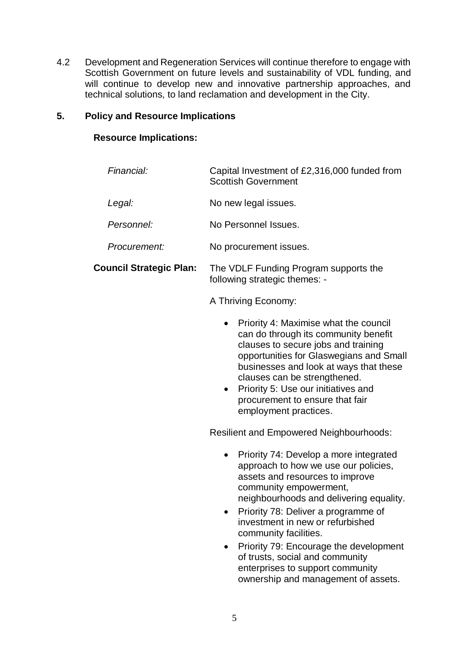4.2 Development and Regeneration Services will continue therefore to engage with Scottish Government on future levels and sustainability of VDL funding, and will continue to develop new and innovative partnership approaches, and technical solutions, to land reclamation and development in the City.

### **5. Policy and Resource Implications**

### **Resource Implications:**

| Financial:                     | Capital Investment of £2,316,000 funded from<br><b>Scottish Government</b>                                                                                                                                                                                                                                                                                                                                                                                      |
|--------------------------------|-----------------------------------------------------------------------------------------------------------------------------------------------------------------------------------------------------------------------------------------------------------------------------------------------------------------------------------------------------------------------------------------------------------------------------------------------------------------|
| Legal:                         | No new legal issues.                                                                                                                                                                                                                                                                                                                                                                                                                                            |
| Personnel:                     | No Personnel Issues.                                                                                                                                                                                                                                                                                                                                                                                                                                            |
| Procurement:                   | No procurement issues.                                                                                                                                                                                                                                                                                                                                                                                                                                          |
| <b>Council Strategic Plan:</b> | The VDLF Funding Program supports the<br>following strategic themes: -                                                                                                                                                                                                                                                                                                                                                                                          |
|                                | A Thriving Economy:                                                                                                                                                                                                                                                                                                                                                                                                                                             |
|                                | Priority 4: Maximise what the council<br>can do through its community benefit<br>clauses to secure jobs and training<br>opportunities for Glaswegians and Small<br>businesses and look at ways that these<br>clauses can be strengthened.<br>Priority 5: Use our initiatives and<br>procurement to ensure that fair<br>employment practices.                                                                                                                    |
|                                | <b>Resilient and Empowered Neighbourhoods:</b>                                                                                                                                                                                                                                                                                                                                                                                                                  |
|                                | Priority 74: Develop a more integrated<br>$\bullet$<br>approach to how we use our policies,<br>assets and resources to improve<br>community empowerment,<br>neighbourhoods and delivering equality.<br>Priority 78: Deliver a programme of<br>investment in new or refurbished<br>community facilities.<br>Priority 79: Encourage the development<br>of trusts, social and community<br>enterprises to support community<br>ownership and management of assets. |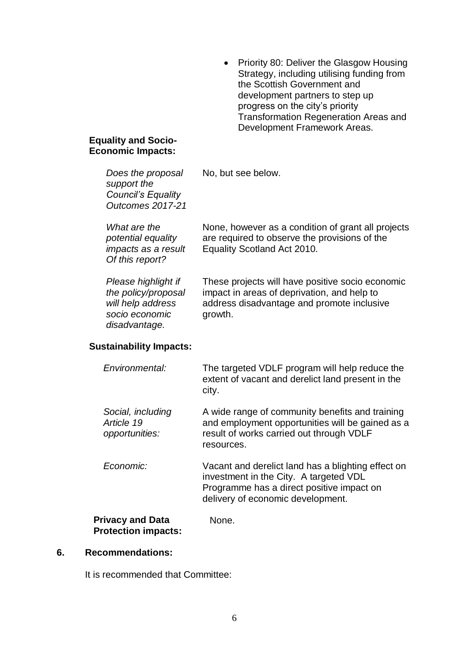• Priority 80: Deliver the Glasgow Housing Strategy, including utilising funding from the Scottish Government and development partners to step up progress on the city's priority Transformation Regeneration Areas and Development Framework Areas.

#### **Equality and Socio-Economic Impacts:**

| Does the proposal<br>support the<br><b>Council's Equality</b><br>Outcomes 2017-21                  | No, but see below.                                                                                                                                                             |
|----------------------------------------------------------------------------------------------------|--------------------------------------------------------------------------------------------------------------------------------------------------------------------------------|
| What are the<br>potential equality<br>impacts as a result<br>Of this report?                       | None, however as a condition of grant all projects<br>are required to observe the provisions of the<br>Equality Scotland Act 2010.                                             |
| Please highlight if<br>the policy/proposal<br>will help address<br>socio economic<br>disadvantage. | These projects will have positive socio economic<br>impact in areas of deprivation, and help to<br>address disadvantage and promote inclusive<br>growth.                       |
| <b>Sustainability Impacts:</b>                                                                     |                                                                                                                                                                                |
| Environmental:                                                                                     | The targeted VDLF program will help reduce the<br>extent of vacant and derelict land present in the<br>city.                                                                   |
| Social, including<br>Article 19<br>opportunities:                                                  | A wide range of community benefits and training<br>and employment opportunities will be gained as a<br>result of works carried out through VDLF<br>resources.                  |
| Economic:                                                                                          | Vacant and derelict land has a blighting effect on<br>investment in the City. A targeted VDL<br>Programme has a direct positive impact on<br>delivery of economic development. |

#### **Privacy and Data Protection impacts:**

#### **6. Recommendations:**

It is recommended that Committee:

None.